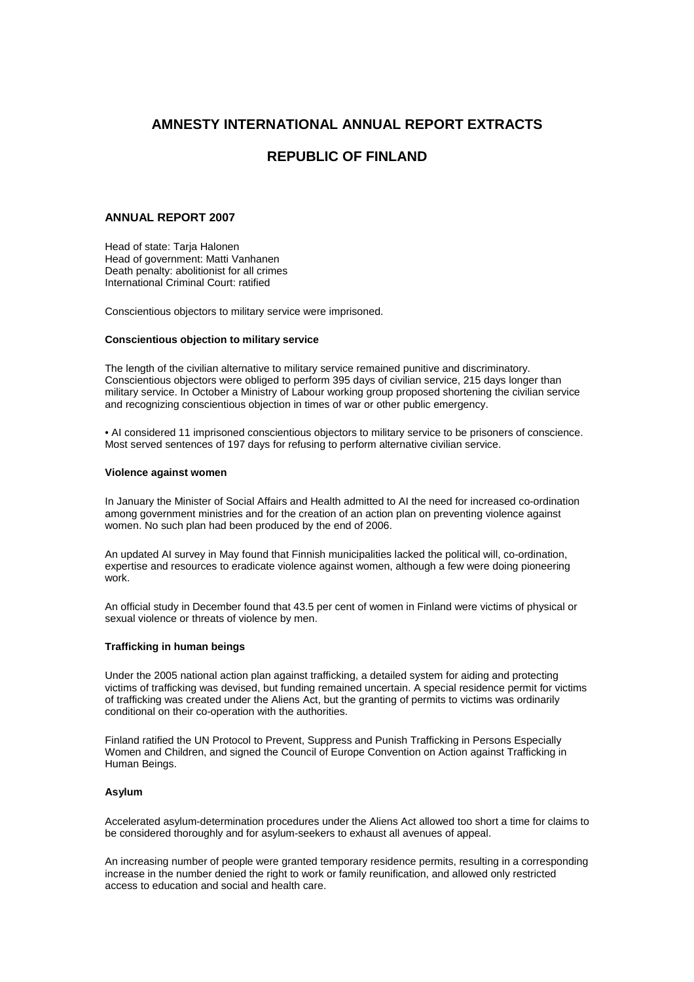# **AMNESTY INTERNATIONAL ANNUAL REPORT EXTRACTS**

# **REPUBLIC OF FINLAND**

## **ANNUAL REPORT 2007**

Head of state: Tarja Halonen Head of government: Matti Vanhanen Death penalty: abolitionist for all crimes International Criminal Court: ratified

Conscientious objectors to military service were imprisoned.

#### **Conscientious objection to military service**

The length of the civilian alternative to military service remained punitive and discriminatory. Conscientious objectors were obliged to perform 395 days of civilian service, 215 days longer than military service. In October a Ministry of Labour working group proposed shortening the civilian service and recognizing conscientious objection in times of war or other public emergency.

• AI considered 11 imprisoned conscientious objectors to military service to be prisoners of conscience. Most served sentences of 197 days for refusing to perform alternative civilian service.

#### **Violence against women**

In January the Minister of Social Affairs and Health admitted to AI the need for increased co-ordination among government ministries and for the creation of an action plan on preventing violence against women. No such plan had been produced by the end of 2006.

An updated AI survey in May found that Finnish municipalities lacked the political will, co-ordination, expertise and resources to eradicate violence against women, although a few were doing pioneering work.

An official study in December found that 43.5 per cent of women in Finland were victims of physical or sexual violence or threats of violence by men.

### **Trafficking in human beings**

Under the 2005 national action plan against trafficking, a detailed system for aiding and protecting victims of trafficking was devised, but funding remained uncertain. A special residence permit for victims of trafficking was created under the Aliens Act, but the granting of permits to victims was ordinarily conditional on their co-operation with the authorities.

Finland ratified the UN Protocol to Prevent, Suppress and Punish Trafficking in Persons Especially Women and Children, and signed the Council of Europe Convention on Action against Trafficking in Human Beings.

#### **Asylum**

Accelerated asylum-determination procedures under the Aliens Act allowed too short a time for claims to be considered thoroughly and for asylum-seekers to exhaust all avenues of appeal.

An increasing number of people were granted temporary residence permits, resulting in a corresponding increase in the number denied the right to work or family reunification, and allowed only restricted access to education and social and health care.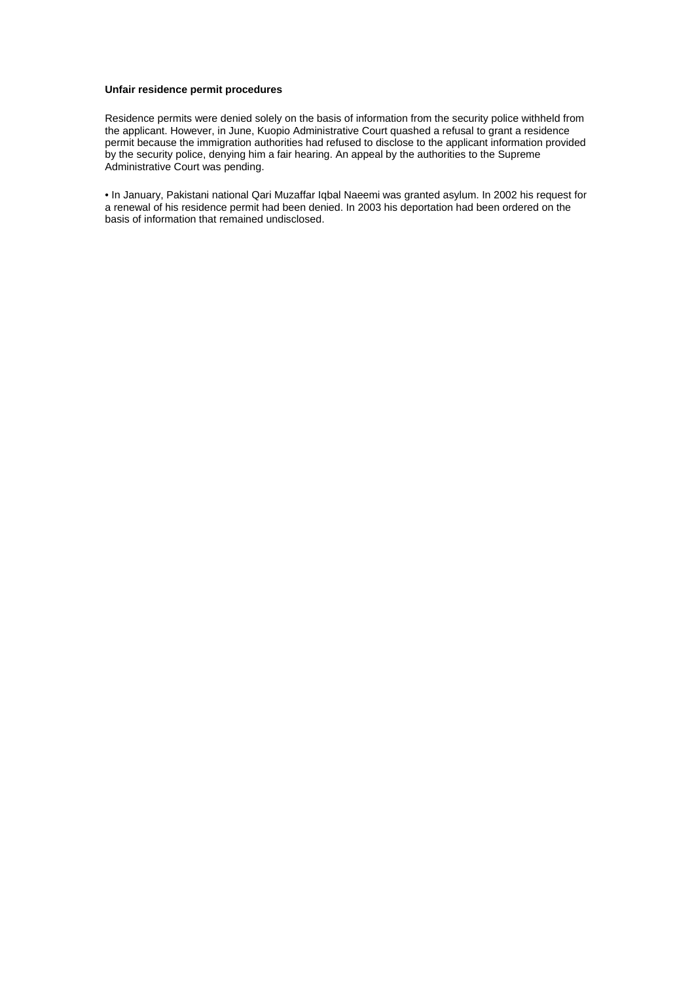### **Unfair residence permit procedures**

Residence permits were denied solely on the basis of information from the security police withheld from the applicant. However, in June, Kuopio Administrative Court quashed a refusal to grant a residence permit because the immigration authorities had refused to disclose to the applicant information provided by the security police, denying him a fair hearing. An appeal by the authorities to the Supreme Administrative Court was pending.

• In January, Pakistani national Qari Muzaffar Iqbal Naeemi was granted asylum. In 2002 his request for a renewal of his residence permit had been denied. In 2003 his deportation had been ordered on the basis of information that remained undisclosed.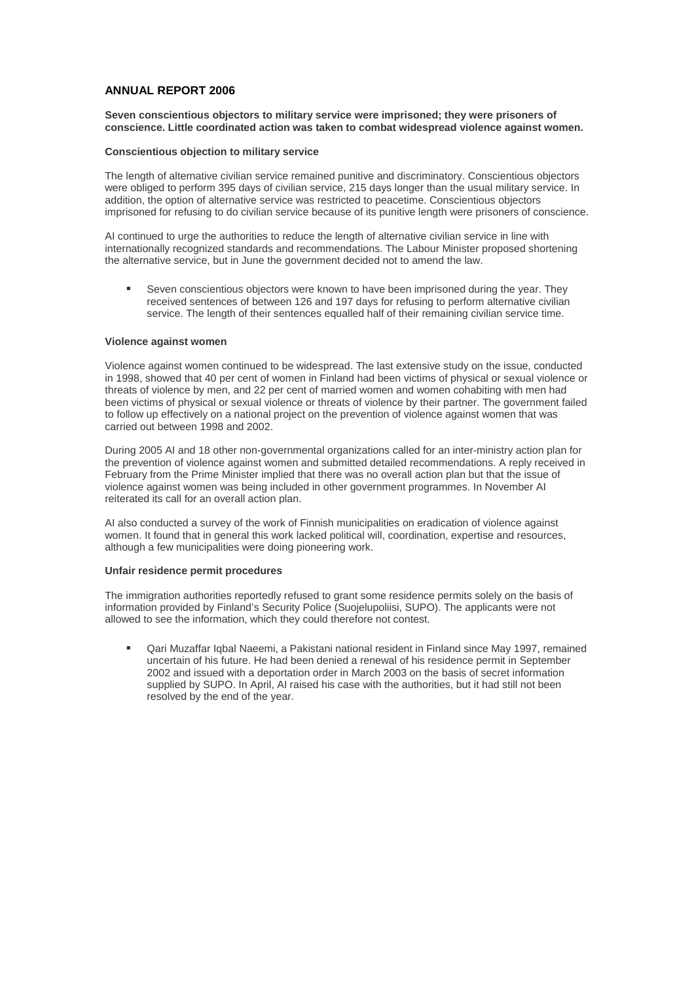# **ANNUAL REPORT 2006**

**Seven conscientious objectors to military service were imprisoned; they were prisoners of conscience. Little coordinated action was taken to combat widespread violence against women.**

### **Conscientious objection to military service**

The length of alternative civilian service remained punitive and discriminatory. Conscientious objectors were obliged to perform 395 days of civilian service, 215 days longer than the usual military service. In addition, the option of alternative service was restricted to peacetime. Conscientious objectors imprisoned for refusing to do civilian service because of its punitive length were prisoners of conscience.

AI continued to urge the authorities to reduce the length of alternative civilian service in line with internationally recognized standards and recommendations. The Labour Minister proposed shortening the alternative service, but in June the government decided not to amend the law.

 Seven conscientious objectors were known to have been imprisoned during the year. They received sentences of between 126 and 197 days for refusing to perform alternative civilian service. The length of their sentences equalled half of their remaining civilian service time.

### **Violence against women**

Violence against women continued to be widespread. The last extensive study on the issue, conducted in 1998, showed that 40 per cent of women in Finland had been victims of physical or sexual violence or threats of violence by men, and 22 per cent of married women and women cohabiting with men had been victims of physical or sexual violence or threats of violence by their partner. The government failed to follow up effectively on a national project on the prevention of violence against women that was carried out between 1998 and 2002.

During 2005 AI and 18 other non-governmental organizations called for an inter-ministry action plan for the prevention of violence against women and submitted detailed recommendations. A reply received in February from the Prime Minister implied that there was no overall action plan but that the issue of violence against women was being included in other government programmes. In November AI reiterated its call for an overall action plan.

AI also conducted a survey of the work of Finnish municipalities on eradication of violence against women. It found that in general this work lacked political will, coordination, expertise and resources, although a few municipalities were doing pioneering work.

### **Unfair residence permit procedures**

The immigration authorities reportedly refused to grant some residence permits solely on the basis of information provided by Finland's Security Police (Suojelupoliisi, SUPO). The applicants were not allowed to see the information, which they could therefore not contest.

 Qari Muzaffar Iqbal Naeemi, a Pakistani national resident in Finland since May 1997, remained uncertain of his future. He had been denied a renewal of his residence permit in September 2002 and issued with a deportation order in March 2003 on the basis of secret information supplied by SUPO. In April, AI raised his case with the authorities, but it had still not been resolved by the end of the year.